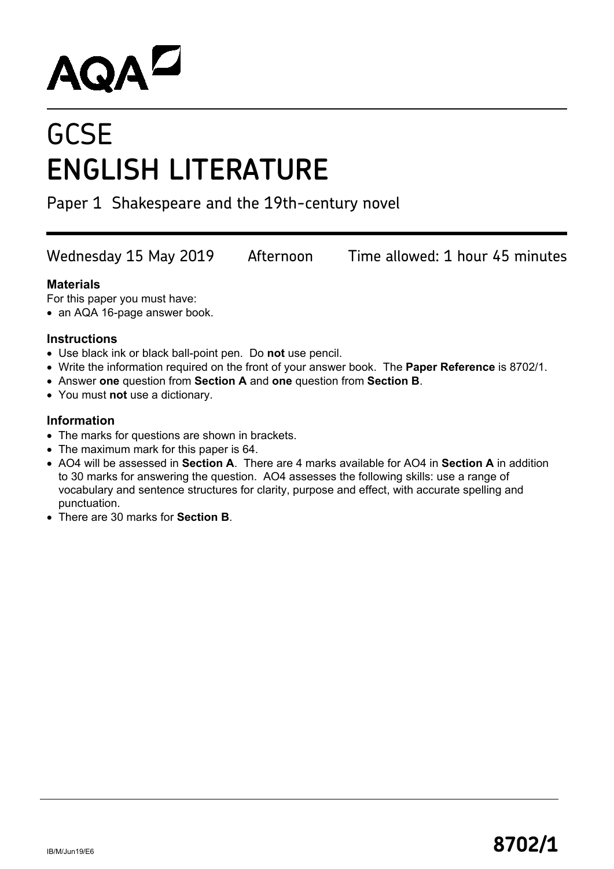# **AQAL**

## **GCSE ENGLISH LITERATURE**

Paper 1 Shakespeare and the 19th-century novel

Wednesday 15 May 2019 Afternoon Time allowed: 1 hour 45 minutes

#### **Materials**

For this paper you must have:

• an AQA 16-page answer book.

#### **Instructions**

- Use black ink or black ball-point pen. Do **not** use pencil.
- Write the information required on the front of your answer book. The **Paper Reference** is 8702/1.
- Answer **one** question from **Section A** and **one** question from **Section B**.
- You must **not** use a dictionary.

#### **Information**

- The marks for questions are shown in brackets.
- The maximum mark for this paper is 64.
- AO4 will be assessed in **Section A**. There are 4 marks available for AO4 in **Section A** in addition to 30 marks for answering the question. AO4 assesses the following skills: use a range of vocabulary and sentence structures for clarity, purpose and effect, with accurate spelling and punctuation.
- There are 30 marks for **Section B**.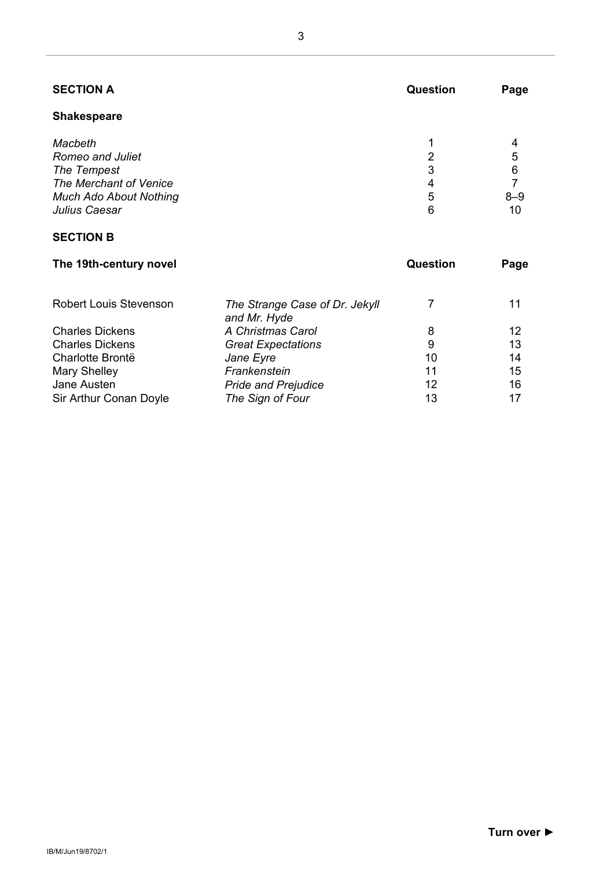| <b>SECTION A</b>                                                                                                       | <b>Question</b>       | Page                              |
|------------------------------------------------------------------------------------------------------------------------|-----------------------|-----------------------------------|
| <b>Shakespeare</b>                                                                                                     |                       |                                   |
| Macbeth<br>Romeo and Juliet<br>The Tempest<br>The Merchant of Venice<br><b>Much Ado About Nothing</b><br>Julius Caesar | 2<br>3<br>4<br>5<br>6 | 4<br>5<br>6<br>7<br>$8 - 9$<br>10 |

#### **SECTION B**

| The 19th-century novel        | Question                                       | Page |    |
|-------------------------------|------------------------------------------------|------|----|
| <b>Robert Louis Stevenson</b> | The Strange Case of Dr. Jekyll<br>and Mr. Hyde |      | 11 |
| <b>Charles Dickens</b>        | A Christmas Carol                              | 8    | 12 |
| <b>Charles Dickens</b>        | <b>Great Expectations</b>                      | 9    | 13 |
| Charlotte Brontë              | Jane Eyre                                      | 10   | 14 |
| Mary Shelley                  | Frankenstein                                   | 11   | 15 |
| Jane Austen                   | <b>Pride and Prejudice</b>                     | 12   | 16 |
| Sir Arthur Conan Doyle        | The Sign of Four                               | 13   | 17 |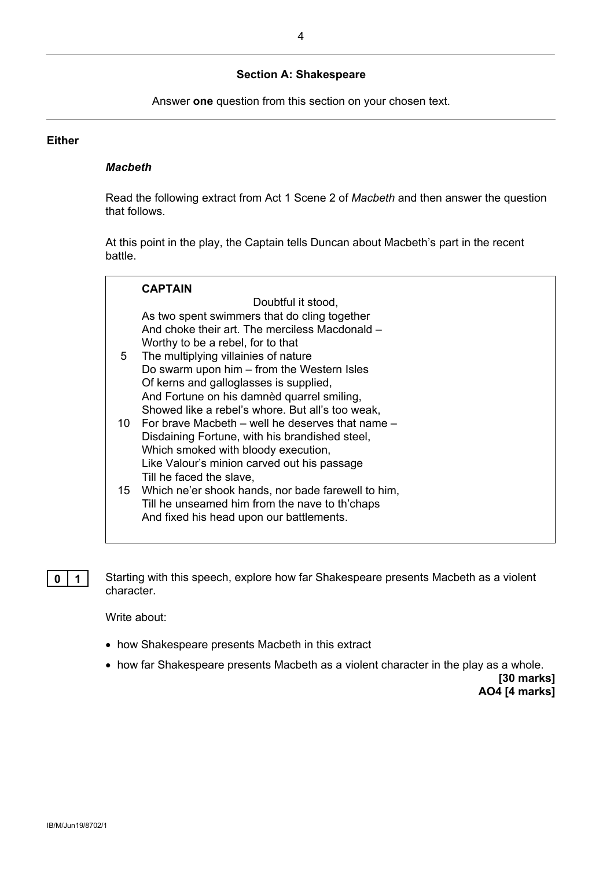#### **Section A: Shakespeare**

Answer **one** question from this section on your chosen text.

#### **Either**

#### *Macbeth*

Read the following extract from Act 1 Scene 2 of *Macbeth* and then answer the question that follows.

At this point in the play, the Captain tells Duncan about Macbeth's part in the recent battle.

|    | <b>CAPTAIN</b>                                        |
|----|-------------------------------------------------------|
|    | Doubtful it stood.                                    |
|    | As two spent swimmers that do cling together          |
|    | And choke their art. The merciless Macdonald –        |
|    | Worthy to be a rebel, for to that                     |
| 5  | The multiplying villainies of nature                  |
|    | Do swarm upon him – from the Western Isles            |
|    | Of kerns and galloglasses is supplied,                |
|    | And Fortune on his damnèd quarrel smiling,            |
|    | Showed like a rebel's whore. But all's too weak,      |
| 10 | For brave Macbeth – well he deserves that name –      |
|    | Disdaining Fortune, with his brandished steel,        |
|    | Which smoked with bloody execution,                   |
|    | Like Valour's minion carved out his passage           |
|    | Till he faced the slave,                              |
|    | 15 Which ne'er shook hands, nor bade farewell to him, |
|    | Till he unseamed him from the nave to th'chaps        |
|    | And fixed his head upon our battlements.              |
|    |                                                       |

**0 1** Starting with this speech, explore how far Shakespeare presents Macbeth as a violent character.

Write about:

- how Shakespeare presents Macbeth in this extract
- how far Shakespeare presents Macbeth as a violent character in the play as a whole.

**[30 marks] AO4 [4 marks]**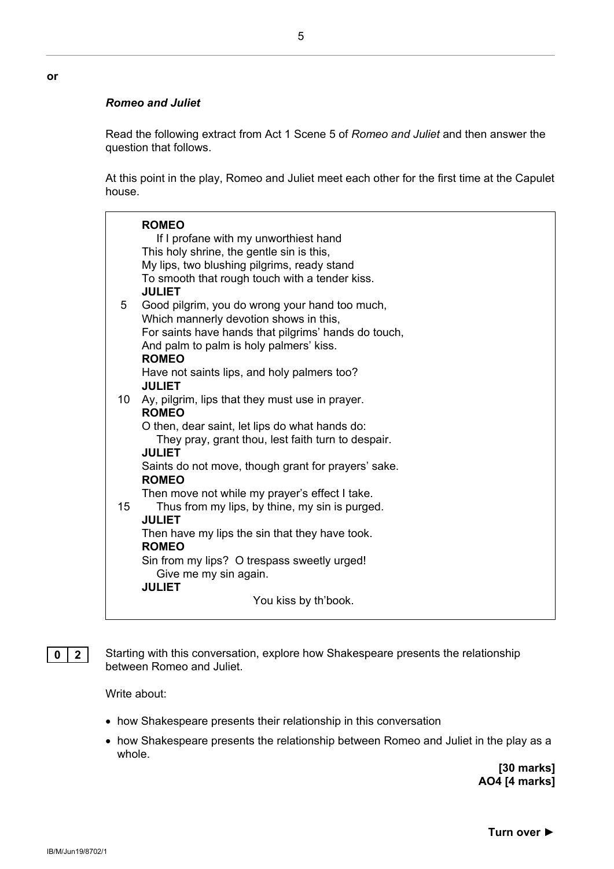#### *Romeo and Juliet*

**or**

Read the following extract from Act 1 Scene 5 of *Romeo and Juliet* and then answer the question that follows.

At this point in the play, Romeo and Juliet meet each other for the first time at the Capulet house.

|    | <b>ROMEO</b>                                                                                    |
|----|-------------------------------------------------------------------------------------------------|
|    | If I profane with my unworthiest hand                                                           |
|    | This holy shrine, the gentle sin is this,                                                       |
|    | My lips, two blushing pilgrims, ready stand                                                     |
|    | To smooth that rough touch with a tender kiss.                                                  |
|    | <b>JULIET</b>                                                                                   |
| 5  | Good pilgrim, you do wrong your hand too much,                                                  |
|    | Which mannerly devotion shows in this,                                                          |
|    | For saints have hands that pilgrims' hands do touch,<br>And palm to palm is holy palmers' kiss. |
|    | <b>ROMEO</b>                                                                                    |
|    | Have not saints lips, and holy palmers too?                                                     |
|    | <b>JULIET</b>                                                                                   |
| 10 | Ay, pilgrim, lips that they must use in prayer.                                                 |
|    | <b>ROMEO</b>                                                                                    |
|    | O then, dear saint, let lips do what hands do:                                                  |
|    | They pray, grant thou, lest faith turn to despair.                                              |
|    | <b>JULIET</b>                                                                                   |
|    | Saints do not move, though grant for prayers' sake.<br><b>ROMEO</b>                             |
|    | Then move not while my prayer's effect I take.                                                  |
| 15 | Thus from my lips, by thine, my sin is purged.                                                  |
|    | <b>JULIET</b>                                                                                   |
|    | Then have my lips the sin that they have took.                                                  |
|    | <b>ROMEO</b>                                                                                    |
|    | Sin from my lips? O trespass sweetly urged!<br>Give me my sin again.                            |
|    | <b>JULIET</b>                                                                                   |
|    | You kiss by th'book.                                                                            |
|    |                                                                                                 |

**0 2** Starting with this conversation, explore how Shakespeare presents the relationship between Romeo and Juliet.

Write about:

- how Shakespeare presents their relationship in this conversation
- how Shakespeare presents the relationship between Romeo and Juliet in the play as a whole.

**[30 marks] AO4 [4 marks]**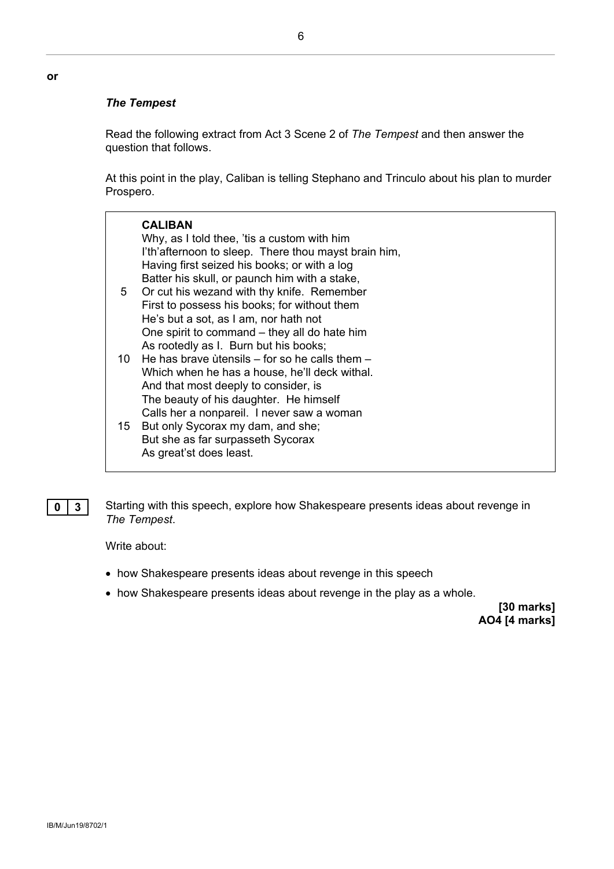#### *The Tempest*

**or**

Read the following extract from Act 3 Scene 2 of *The Tempest* and then answer the question that follows.

At this point in the play, Caliban is telling Stephano and Trinculo about his plan to murder Prospero.

| 5    | <b>CALIBAN</b><br>Why, as I told thee, 'tis a custom with him<br>I'th'afternoon to sleep. There thou mayst brain him,<br>Having first seized his books; or with a log<br>Batter his skull, or paunch him with a stake,<br>Or cut his wezand with thy knife. Remember<br>First to possess his books; for without them<br>He's but a sot, as I am, nor hath not<br>One spirit to command – they all do hate him<br>As rootedly as I. Burn but his books; |
|------|--------------------------------------------------------------------------------------------------------------------------------------------------------------------------------------------------------------------------------------------------------------------------------------------------------------------------------------------------------------------------------------------------------------------------------------------------------|
| 10 - | He has brave ùtensils – for so he calls them –<br>Which when he has a house, he'll deck withal.<br>And that most deeply to consider, is                                                                                                                                                                                                                                                                                                                |
| 15   | The beauty of his daughter. He himself<br>Calls her a nonpareil. I never saw a woman<br>But only Sycorax my dam, and she;<br>But she as far surpasseth Sycorax<br>As great'st does least.                                                                                                                                                                                                                                                              |

**0 3** Starting with this speech, explore how Shakespeare presents ideas about revenge in *The Tempest*.

Write about:

- how Shakespeare presents ideas about revenge in this speech
- how Shakespeare presents ideas about revenge in the play as a whole.

**[30 marks] AO4 [4 marks]**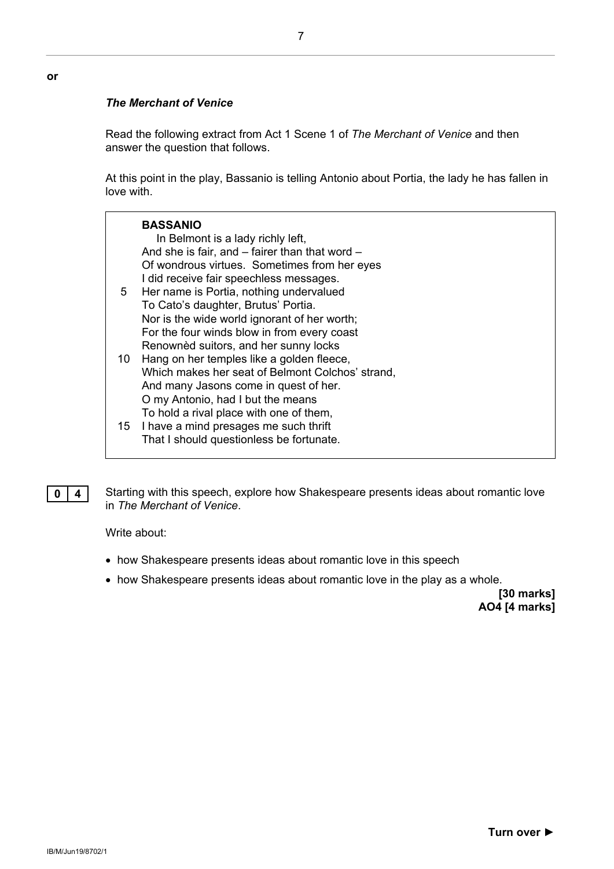#### *The Merchant of Venice*

**or**

Read the following extract from Act 1 Scene 1 of *The Merchant of Venice* and then answer the question that follows.

At this point in the play, Bassanio is telling Antonio about Portia, the lady he has fallen in love with.

|    | <b>BASSANIO</b><br>In Belmont is a lady richly left,<br>And she is fair, and – fairer than that word –<br>Of wondrous virtues. Sometimes from her eyes                                                                                                                         |
|----|--------------------------------------------------------------------------------------------------------------------------------------------------------------------------------------------------------------------------------------------------------------------------------|
| 5  | I did receive fair speechless messages.<br>Her name is Portia, nothing undervalued<br>To Cato's daughter, Brutus' Portia.                                                                                                                                                      |
| 10 | Nor is the wide world ignorant of her worth;<br>For the four winds blow in from every coast<br>Renownèd suitors, and her sunny locks<br>Hang on her temples like a golden fleece,<br>Which makes her seat of Belmont Colchos' strand,<br>And many Jasons come in quest of her. |
| 15 | O my Antonio, had I but the means<br>To hold a rival place with one of them,<br>I have a mind presages me such thrift<br>That I should questionless be fortunate.                                                                                                              |

**0** 4 Starting with this speech, explore how Shakespeare presents ideas about romantic love in *The Merchant of Venice*.

Write about:

- how Shakespeare presents ideas about romantic love in this speech
- how Shakespeare presents ideas about romantic love in the play as a whole.

**[30 marks] AO4 [4 marks]**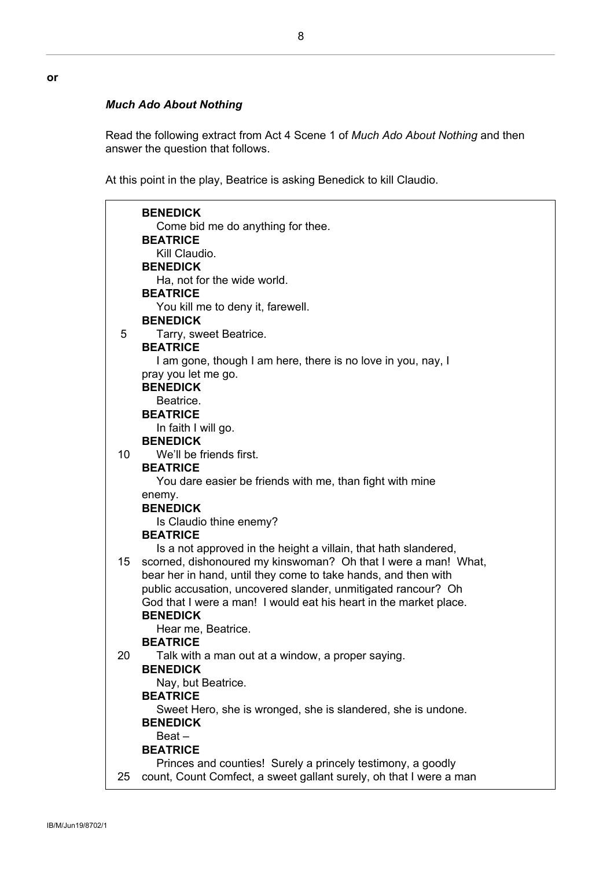#### *Much Ado About Nothing*

Read the following extract from Act 4 Scene 1 of *Much Ado About Nothing* and then answer the question that follows.

At this point in the play, Beatrice is asking Benedick to kill Claudio.

|                 | <b>BENEDICK</b>                                                      |
|-----------------|----------------------------------------------------------------------|
|                 | Come bid me do anything for thee.                                    |
|                 | <b>BEATRICE</b>                                                      |
|                 | Kill Claudio.                                                        |
|                 | <b>BENEDICK</b>                                                      |
|                 | Ha, not for the wide world.                                          |
|                 | <b>BEATRICE</b>                                                      |
|                 | You kill me to deny it, farewell.                                    |
|                 | <b>BENEDICK</b>                                                      |
| 5               | Tarry, sweet Beatrice.                                               |
|                 | <b>BEATRICE</b>                                                      |
|                 | I am gone, though I am here, there is no love in you, nay, I         |
|                 | pray you let me go.                                                  |
|                 | <b>BENEDICK</b>                                                      |
|                 | Beatrice.                                                            |
|                 | <b>BEATRICE</b>                                                      |
|                 | In faith I will go.                                                  |
|                 | <b>BENEDICK</b>                                                      |
| 10              | We'll be friends first.                                              |
|                 | <b>BEATRICE</b>                                                      |
|                 | You dare easier be friends with me, than fight with mine             |
|                 | enemy.                                                               |
|                 | <b>BENEDICK</b>                                                      |
|                 | Is Claudio thine enemy?                                              |
|                 | <b>BEATRICE</b>                                                      |
|                 | Is a not approved in the height a villain, that hath slandered,      |
| 15 <sup>1</sup> | scorned, dishonoured my kinswoman? Oh that I were a man! What,       |
|                 | bear her in hand, until they come to take hands, and then with       |
|                 | public accusation, uncovered slander, unmitigated rancour? Oh        |
|                 | God that I were a man! I would eat his heart in the market place.    |
|                 | <b>BENEDICK</b>                                                      |
|                 | Hear me, Beatrice.<br><b>BEATRICE</b>                                |
|                 |                                                                      |
| 20              | Talk with a man out at a window, a proper saying.<br><b>BENEDICK</b> |
|                 |                                                                      |
|                 | Nay, but Beatrice.<br><b>BEATRICE</b>                                |
|                 | Sweet Hero, she is wronged, she is slandered, she is undone.         |
|                 | <b>BENEDICK</b>                                                      |
|                 | $Beat -$                                                             |
|                 | <b>BEATRICE</b>                                                      |
|                 | Princes and counties! Surely a princely testimony, a goodly          |
| 25              | count, Count Comfect, a sweet gallant surely, oh that I were a man   |
|                 |                                                                      |

**or**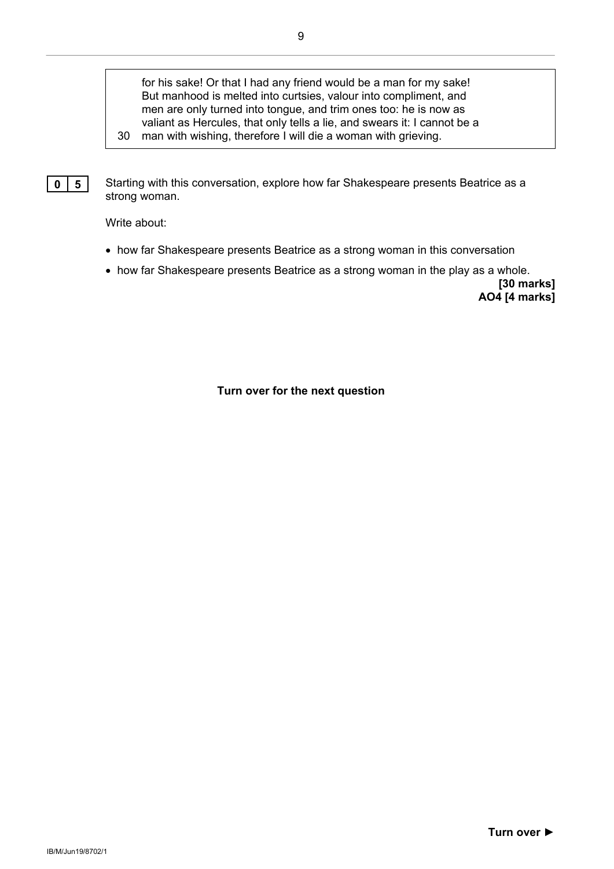for his sake! Or that I had any friend would be a man for my sake! But manhood is melted into curtsies, valour into compliment, and men are only turned into tongue, and trim ones too: he is now as valiant as Hercules, that only tells a lie, and swears it: I cannot be a

30 man with wishing, therefore I will die a woman with grieving.



Write about:

- how far Shakespeare presents Beatrice as a strong woman in this conversation
- how far Shakespeare presents Beatrice as a strong woman in the play as a whole.

**[30 marks] AO4 [4 marks]**

**Turn over for the next question**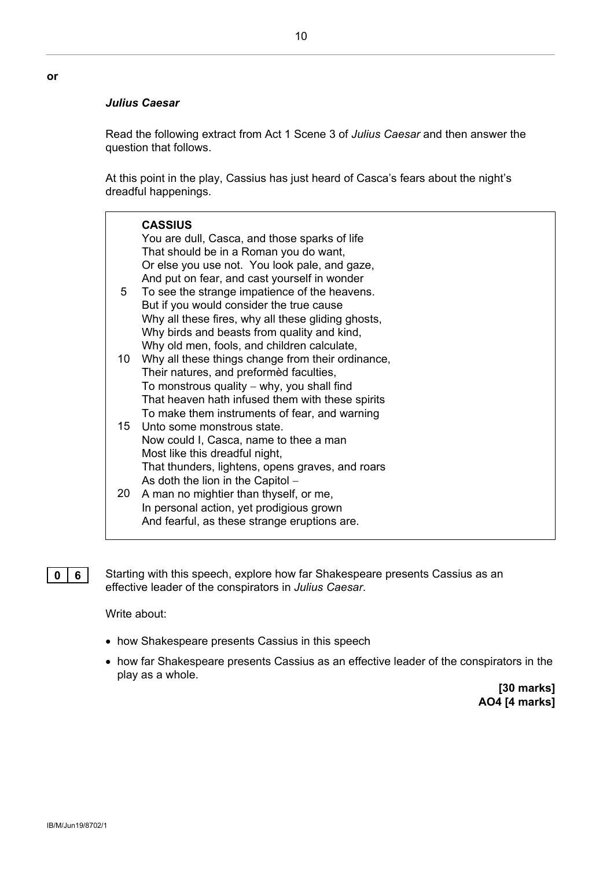#### *Julius Caesar*

Read the following extract from Act 1 Scene 3 of *Julius Caesar* and then answer the question that follows.

At this point in the play, Cassius has just heard of Casca's fears about the night's dreadful happenings.

|     | <b>CASSIUS</b><br>You are dull, Casca, and those sparks of life<br>That should be in a Roman you do want,<br>Or else you use not. You look pale, and gaze,<br>And put on fear, and cast yourself in wonder                                        |
|-----|---------------------------------------------------------------------------------------------------------------------------------------------------------------------------------------------------------------------------------------------------|
| 5   | To see the strange impatience of the heavens.<br>But if you would consider the true cause<br>Why all these fires, why all these gliding ghosts,<br>Why birds and beasts from quality and kind,<br>Why old men, fools, and children calculate,     |
| 10. | Why all these things change from their ordinance,<br>Their natures, and preformed faculties,<br>To monstrous quality $-$ why, you shall find<br>That heaven hath infused them with these spirits<br>To make them instruments of fear, and warning |
|     | 15 Unto some monstrous state.<br>Now could I, Casca, name to thee a man<br>Most like this dreadful night,<br>That thunders, lightens, opens graves, and roars<br>As doth the lion in the Capitol -                                                |
| 20  | A man no mightier than thyself, or me,<br>In personal action, yet prodigious grown<br>And fearful, as these strange eruptions are.                                                                                                                |

**0 6** Starting with this speech, explore how far Shakespeare presents Cassius as an effective leader of the conspirators in *Julius Caesar*.

Write about:

- how Shakespeare presents Cassius in this speech
- how far Shakespeare presents Cassius as an effective leader of the conspirators in the play as a whole.

**[30 marks] AO4 [4 marks]**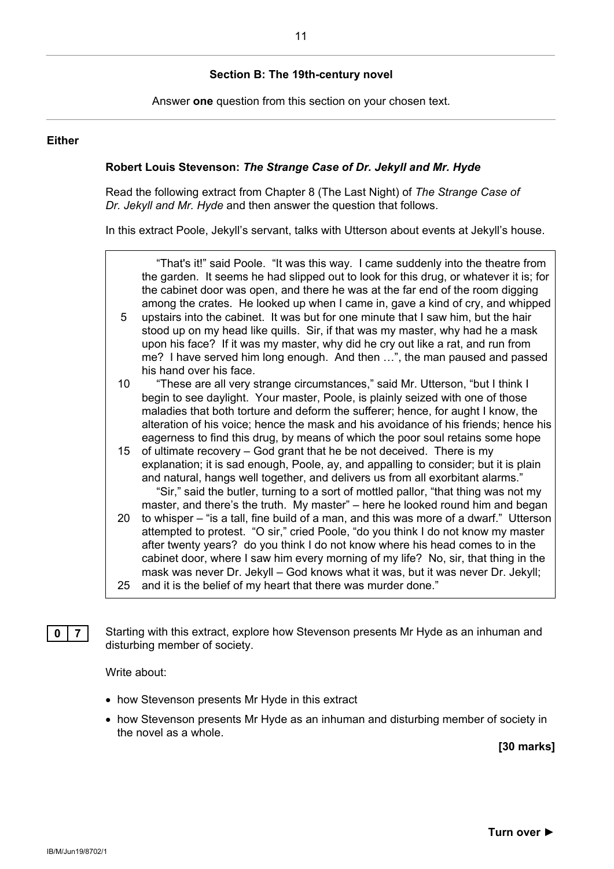#### **Section B: The 19th-century novel**

Answer **one** question from this section on your chosen text.

#### **Either**

#### **Robert Louis Stevenson:** *The Strange Case of Dr. Jekyll and Mr. Hyde*

Read the following extract from Chapter 8 (The Last Night) of *The Strange Case of Dr. Jekyll and Mr. Hyde* and then answer the question that follows.

In this extract Poole, Jekyll's servant, talks with Utterson about events at Jekyll's house.



**0** | **7** | Starting with this extract, explore how Stevenson presents Mr Hyde as an inhuman and disturbing member of society.

Write about:

- how Stevenson presents Mr Hyde in this extract
- how Stevenson presents Mr Hyde as an inhuman and disturbing member of society in the novel as a whole.

**[30 marks]**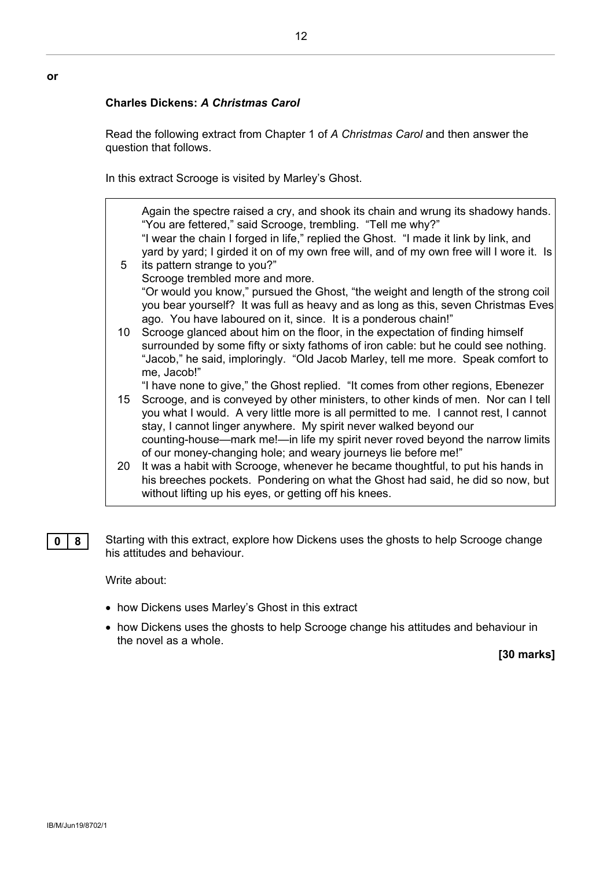#### **Charles Dickens:** *A Christmas Carol*

**or**

Read the following extract from Chapter 1 of *A Christmas Carol* and then answer the question that follows.

In this extract Scrooge is visited by Marley's Ghost.

|                 | Again the spectre raised a cry, and shook its chain and wrung its shadowy hands.<br>"You are fettered," said Scrooge, trembling. "Tell me why?"                                                                                                 |
|-----------------|-------------------------------------------------------------------------------------------------------------------------------------------------------------------------------------------------------------------------------------------------|
|                 | "I wear the chain I forged in life," replied the Ghost. "I made it link by link, and                                                                                                                                                            |
|                 | yard by yard; I girded it on of my own free will, and of my own free will I wore it. Is                                                                                                                                                         |
| $5\overline{)}$ | its pattern strange to you?"                                                                                                                                                                                                                    |
|                 | Scrooge trembled more and more.                                                                                                                                                                                                                 |
|                 | "Or would you know," pursued the Ghost, "the weight and length of the strong coil                                                                                                                                                               |
|                 | you bear yourself? It was full as heavy and as long as this, seven Christmas Eves<br>ago. You have laboured on it, since. It is a ponderous chain!"                                                                                             |
| 10 <sup>1</sup> | Scrooge glanced about him on the floor, in the expectation of finding himself                                                                                                                                                                   |
|                 | surrounded by some fifty or sixty fathoms of iron cable: but he could see nothing.                                                                                                                                                              |
|                 | "Jacob," he said, imploringly. "Old Jacob Marley, tell me more. Speak comfort to<br>me, Jacob!"                                                                                                                                                 |
|                 | "I have none to give," the Ghost replied. "It comes from other regions, Ebenezer                                                                                                                                                                |
| 15 <sub>1</sub> | Scrooge, and is conveyed by other ministers, to other kinds of men. Nor can I tell<br>you what I would. A very little more is all permitted to me. I cannot rest, I cannot<br>stay, I cannot linger anywhere. My spirit never walked beyond our |
|                 | counting-house—mark me!—in life my spirit never roved beyond the narrow limits<br>of our money-changing hole; and weary journeys lie before me!"                                                                                                |
| 20              | It was a habit with Scrooge, whenever he became thoughtful, to put his hands in<br>his breeches pockets. Pondering on what the Ghost had said, he did so now, but<br>without lifting up his eyes, or getting off his knees.                     |
|                 |                                                                                                                                                                                                                                                 |

**0 8** Starting with this extract, explore how Dickens uses the ghosts to help Scrooge change his attitudes and behaviour.

Write about:

- how Dickens uses Marley's Ghost in this extract
- how Dickens uses the ghosts to help Scrooge change his attitudes and behaviour in the novel as a whole.

**[30 marks]**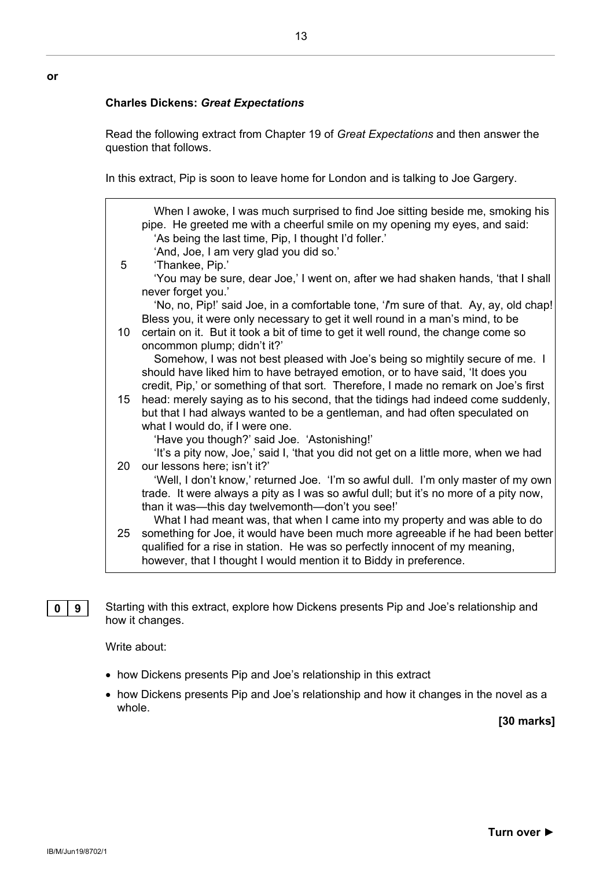#### **Charles Dickens:** *Great Expectations*

**or**

Read the following extract from Chapter 19 of *Great Expectations* and then answer the question that follows.

In this extract, Pip is soon to leave home for London and is talking to Joe Gargery.

| 5  | When I awoke, I was much surprised to find Joe sitting beside me, smoking his<br>pipe. He greeted me with a cheerful smile on my opening my eyes, and said:<br>'As being the last time, Pip, I thought I'd foller.'<br>'And, Joe, I am very glad you did so.'<br>'Thankee, Pip.' |
|----|----------------------------------------------------------------------------------------------------------------------------------------------------------------------------------------------------------------------------------------------------------------------------------|
|    | 'You may be sure, dear Joe,' I went on, after we had shaken hands, 'that I shall                                                                                                                                                                                                 |
|    | never forget you.'                                                                                                                                                                                                                                                               |
|    | 'No, no, Pip!' said Joe, in a comfortable tone, 'I'm sure of that. Ay, ay, old chap!<br>Bless you, it were only necessary to get it well round in a man's mind, to be                                                                                                            |
| 10 | certain on it. But it took a bit of time to get it well round, the change come so                                                                                                                                                                                                |
|    | oncommon plump; didn't it?'                                                                                                                                                                                                                                                      |
|    | Somehow, I was not best pleased with Joe's being so mightily secure of me. I<br>should have liked him to have betrayed emotion, or to have said, 'It does you                                                                                                                    |
|    | credit, Pip,' or something of that sort. Therefore, I made no remark on Joe's first                                                                                                                                                                                              |
| 15 | head: merely saying as to his second, that the tidings had indeed come suddenly,<br>but that I had always wanted to be a gentleman, and had often speculated on                                                                                                                  |
|    | what I would do, if I were one.                                                                                                                                                                                                                                                  |
|    | 'Have you though?' said Joe. 'Astonishing!'                                                                                                                                                                                                                                      |
|    | 'It's a pity now, Joe,' said I, 'that you did not get on a little more, when we had                                                                                                                                                                                              |
| 20 | our lessons here; isn't it?'                                                                                                                                                                                                                                                     |
|    | 'Well, I don't know,' returned Joe. 'I'm so awful dull. I'm only master of my own<br>trade. It were always a pity as I was so awful dull; but it's no more of a pity now,                                                                                                        |
|    | than it was—this day twelvemonth—don't you see!'                                                                                                                                                                                                                                 |
|    | What I had meant was, that when I came into my property and was able to do                                                                                                                                                                                                       |
| 25 | something for Joe, it would have been much more agreeable if he had been better                                                                                                                                                                                                  |
|    | qualified for a rise in station. He was so perfectly innocent of my meaning,                                                                                                                                                                                                     |
|    | however, that I thought I would mention it to Biddy in preference.                                                                                                                                                                                                               |
|    |                                                                                                                                                                                                                                                                                  |

**0 9** Starting with this extract, explore how Dickens presents Pip and Joe's relationship and how it changes.

Write about:

- how Dickens presents Pip and Joe's relationship in this extract
- how Dickens presents Pip and Joe's relationship and how it changes in the novel as a whole.

**[30 marks]**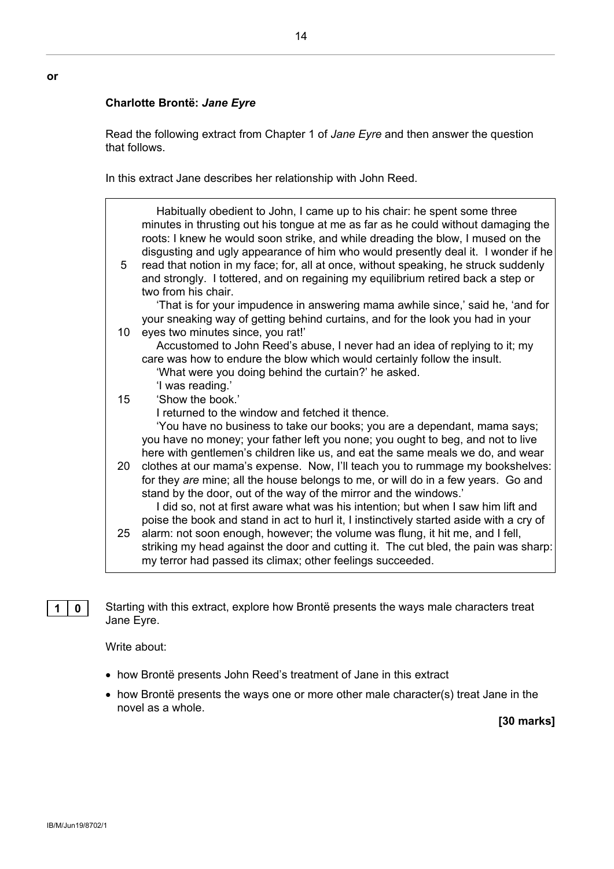#### **Charlotte Brontë:** *Jane Eyre*

**or**

Read the following extract from Chapter 1 of *Jane Eyre* and then answer the question that follows.

In this extract Jane describes her relationship with John Reed.

| 5  | Habitually obedient to John, I came up to his chair: he spent some three<br>minutes in thrusting out his tongue at me as far as he could without damaging the<br>roots: I knew he would soon strike, and while dreading the blow, I mused on the<br>disgusting and ugly appearance of him who would presently deal it. I wonder if he<br>read that notion in my face; for, all at once, without speaking, he struck suddenly<br>and strongly. I tottered, and on regaining my equilibrium retired back a step or<br>two from his chair. |
|----|-----------------------------------------------------------------------------------------------------------------------------------------------------------------------------------------------------------------------------------------------------------------------------------------------------------------------------------------------------------------------------------------------------------------------------------------------------------------------------------------------------------------------------------------|
|    | 'That is for your impudence in answering mama awhile since,' said he, 'and for<br>your sneaking way of getting behind curtains, and for the look you had in your                                                                                                                                                                                                                                                                                                                                                                        |
| 10 | eyes two minutes since, you rat!'                                                                                                                                                                                                                                                                                                                                                                                                                                                                                                       |
|    | Accustomed to John Reed's abuse, I never had an idea of replying to it; my                                                                                                                                                                                                                                                                                                                                                                                                                                                              |
|    | care was how to endure the blow which would certainly follow the insult.                                                                                                                                                                                                                                                                                                                                                                                                                                                                |
|    | 'What were you doing behind the curtain?' he asked.                                                                                                                                                                                                                                                                                                                                                                                                                                                                                     |
| 15 | 'I was reading.'<br>'Show the book.'                                                                                                                                                                                                                                                                                                                                                                                                                                                                                                    |
|    | I returned to the window and fetched it thence.                                                                                                                                                                                                                                                                                                                                                                                                                                                                                         |
|    | 'You have no business to take our books; you are a dependant, mama says;                                                                                                                                                                                                                                                                                                                                                                                                                                                                |
|    | you have no money; your father left you none; you ought to beg, and not to live                                                                                                                                                                                                                                                                                                                                                                                                                                                         |
|    | here with gentlemen's children like us, and eat the same meals we do, and wear                                                                                                                                                                                                                                                                                                                                                                                                                                                          |
| 20 | clothes at our mama's expense. Now, I'll teach you to rummage my bookshelves:                                                                                                                                                                                                                                                                                                                                                                                                                                                           |
|    | for they are mine; all the house belongs to me, or will do in a few years. Go and                                                                                                                                                                                                                                                                                                                                                                                                                                                       |
|    | stand by the door, out of the way of the mirror and the windows.'                                                                                                                                                                                                                                                                                                                                                                                                                                                                       |
|    | I did so, not at first aware what was his intention; but when I saw him lift and                                                                                                                                                                                                                                                                                                                                                                                                                                                        |
|    | poise the book and stand in act to hurl it, I instinctively started aside with a cry of                                                                                                                                                                                                                                                                                                                                                                                                                                                 |
| 25 | alarm: not soon enough, however; the volume was flung, it hit me, and I fell,                                                                                                                                                                                                                                                                                                                                                                                                                                                           |
|    | striking my head against the door and cutting it. The cut bled, the pain was sharp:                                                                                                                                                                                                                                                                                                                                                                                                                                                     |
|    | my terror had passed its climax; other feelings succeeded.                                                                                                                                                                                                                                                                                                                                                                                                                                                                              |
|    |                                                                                                                                                                                                                                                                                                                                                                                                                                                                                                                                         |

**1 0** Starting with this extract, explore how Brontë presents the ways male characters treat Jane Eyre.

Write about:

- how Brontë presents John Reed's treatment of Jane in this extract
- how Brontë presents the ways one or more other male character(s) treat Jane in the novel as a whole.

**[30 marks]**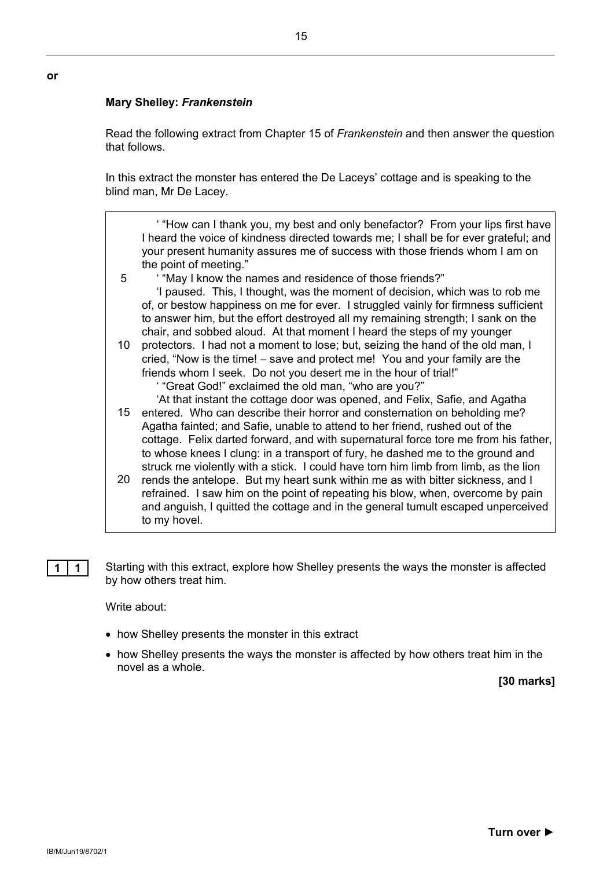#### **Mary Shelley:** *Frankenstein*

**or**

Read the following extract from Chapter 15 of *Frankenstein* and then answer the question that follows.

In this extract the monster has entered the De Laceys' cottage and is speaking to the blind man, Mr De Lacey.

' "How can I thank you, my best and only benefactor? From your lips first have I heard the voice of kindness directed towards me; I shall be for ever grateful; and your present humanity assures me of success with those friends whom I am on the point of meeting."

5 ' "May I know the names and residence of those friends?" 'I paused. This, I thought, was the moment of decision, which was to rob me of, or bestow happiness on me for ever. I struggled vainly for firmness sufficient to answer him, but the effort destroyed all my remaining strength; I sank on the

chair, and sobbed aloud. At that moment I heard the steps of my younger

- 10 protectors. I had not a moment to lose; but, seizing the hand of the old man, I cried, "Now is the time! − save and protect me! You and your family are the friends whom I seek. Do not you desert me in the hour of trial!" ' "Great God!" exclaimed the old man, "who are you?"
- 15 entered. Who can describe their horror and consternation on beholding me? 'At that instant the cottage door was opened, and Felix, Safie, and Agatha Agatha fainted; and Safie, unable to attend to her friend, rushed out of the cottage. Felix darted forward, and with supernatural force tore me from his father, to whose knees I clung: in a transport of fury, he dashed me to the ground and struck me violently with a stick. I could have torn him limb from limb, as the lion
- 20 rends the antelope. But my heart sunk within me as with bitter sickness, and I refrained. I saw him on the point of repeating his blow, when, overcome by pain and anguish, I quitted the cottage and in the general tumult escaped unperceived to my hovel.

**1 1** Starting with this extract, explore how Shelley presents the ways the monster is affected by how others treat him.

#### Write about:

- how Shelley presents the monster in this extract
- how Shelley presents the ways the monster is affected by how others treat him in the novel as a whole.

**[30 marks]**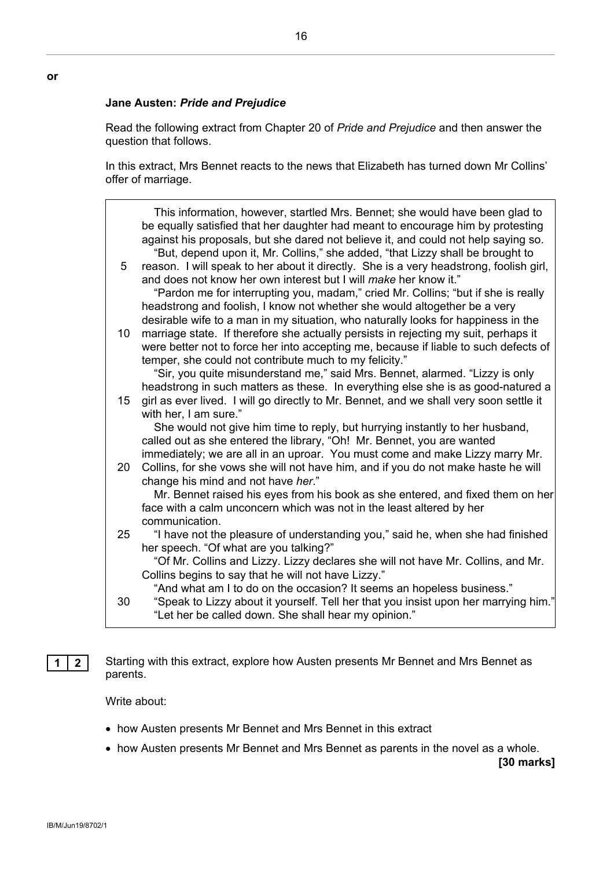#### **Jane Austen:** *Pride and Prejudice*

Read the following extract from Chapter 20 of *Pride and Prejudice* and then answer the question that follows.

In this extract, Mrs Bennet reacts to the news that Elizabeth has turned down Mr Collins' offer of marriage.

| 5  | This information, however, startled Mrs. Bennet; she would have been glad to<br>be equally satisfied that her daughter had meant to encourage him by protesting<br>against his proposals, but she dared not believe it, and could not help saying so.<br>"But, depend upon it, Mr. Collins," she added, "that Lizzy shall be brought to<br>reason. I will speak to her about it directly. She is a very headstrong, foolish girl, |
|----|-----------------------------------------------------------------------------------------------------------------------------------------------------------------------------------------------------------------------------------------------------------------------------------------------------------------------------------------------------------------------------------------------------------------------------------|
|    | and does not know her own interest but I will make her know it."<br>"Pardon me for interrupting you, madam," cried Mr. Collins; "but if she is really<br>headstrong and foolish, I know not whether she would altogether be a very<br>desirable wife to a man in my situation, who naturally looks for happiness in the                                                                                                           |
| 10 | marriage state. If therefore she actually persists in rejecting my suit, perhaps it<br>were better not to force her into accepting me, because if liable to such defects of<br>temper, she could not contribute much to my felicity."                                                                                                                                                                                             |
|    | "Sir, you quite misunderstand me," said Mrs. Bennet, alarmed. "Lizzy is only<br>headstrong in such matters as these. In everything else she is as good-natured a                                                                                                                                                                                                                                                                  |
| 15 | girl as ever lived. I will go directly to Mr. Bennet, and we shall very soon settle it<br>with her, I am sure."                                                                                                                                                                                                                                                                                                                   |
|    | She would not give him time to reply, but hurrying instantly to her husband,<br>called out as she entered the library, "Oh! Mr. Bennet, you are wanted                                                                                                                                                                                                                                                                            |
| 20 | immediately; we are all in an uproar. You must come and make Lizzy marry Mr.<br>Collins, for she vows she will not have him, and if you do not make haste he will<br>change his mind and not have her."                                                                                                                                                                                                                           |
|    | Mr. Bennet raised his eyes from his book as she entered, and fixed them on her<br>face with a calm unconcern which was not in the least altered by her<br>communication.                                                                                                                                                                                                                                                          |
| 25 | "I have not the pleasure of understanding you," said he, when she had finished<br>her speech. "Of what are you talking?"                                                                                                                                                                                                                                                                                                          |
|    | "Of Mr. Collins and Lizzy. Lizzy declares she will not have Mr. Collins, and Mr.<br>Collins begins to say that he will not have Lizzy."                                                                                                                                                                                                                                                                                           |
| 30 | "And what am I to do on the occasion? It seems an hopeless business."<br>"Speak to Lizzy about it yourself. Tell her that you insist upon her marrying him."<br>"Let her be called down. She shall hear my opinion."                                                                                                                                                                                                              |

**1 2** Starting with this extract, explore how Austen presents Mr Bennet and Mrs Bennet as parents.

Write about:

- how Austen presents Mr Bennet and Mrs Bennet in this extract
- how Austen presents Mr Bennet and Mrs Bennet as parents in the novel as a whole.

**[30 marks]**

16

**or**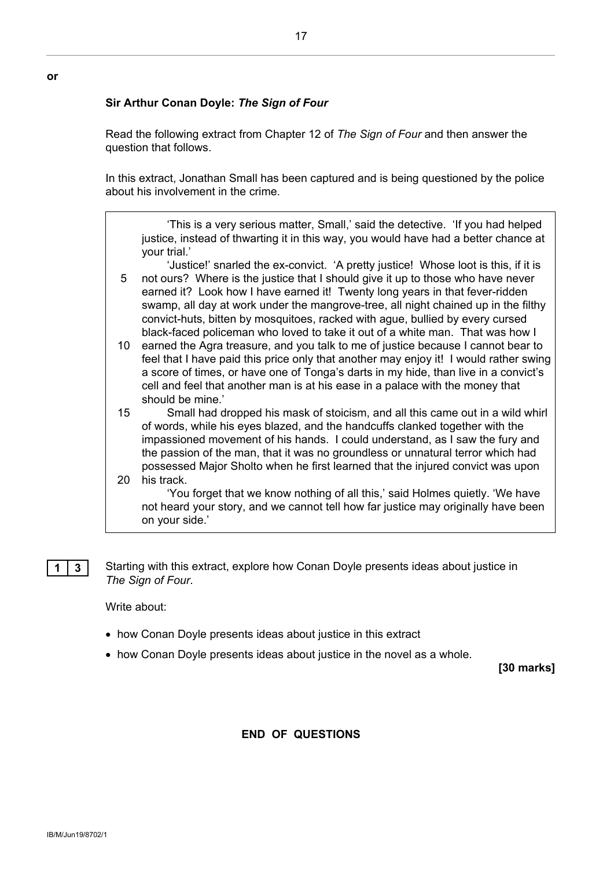#### **Sir Arthur Conan Doyle:** *The Sign of Four*

Read the following extract from Chapter 12 of *The Sign of Four* and then answer the question that follows.

17

In this extract, Jonathan Small has been captured and is being questioned by the police about his involvement in the crime.

'This is a very serious matter, Small,' said the detective. 'If you had helped justice, instead of thwarting it in this way, you would have had a better chance at your trial.'

5 'Justice!' snarled the ex-convict. 'A pretty justice! Whose loot is this, if it is not ours? Where is the justice that I should give it up to those who have never earned it? Look how I have earned it! Twenty long years in that fever-ridden swamp, all day at work under the mangrove-tree, all night chained up in the filthy convict-huts, bitten by mosquitoes, racked with ague, bullied by every cursed black-faced policeman who loved to take it out of a white man. That was how I

10 earned the Agra treasure, and you talk to me of justice because I cannot bear to feel that I have paid this price only that another may enjoy it! I would rather swing a score of times, or have one of Tonga's darts in my hide, than live in a convict's cell and feel that another man is at his ease in a palace with the money that should be mine.'

15 20 his track. Small had dropped his mask of stoicism, and all this came out in a wild whirl of words, while his eyes blazed, and the handcuffs clanked together with the impassioned movement of his hands. I could understand, as I saw the fury and the passion of the man, that it was no groundless or unnatural terror which had possessed Major Sholto when he first learned that the injured convict was upon

'You forget that we know nothing of all this,' said Holmes quietly. 'We have not heard your story, and we cannot tell how far justice may originally have been on your side.'

**1 3** Starting with this extract, explore how Conan Doyle presents ideas about justice in *The Sign of Four*.

Write about:

- how Conan Doyle presents ideas about justice in this extract
- how Conan Doyle presents ideas about justice in the novel as a whole.

**[30 marks]**

#### **END OF QUESTIONS**

**or**